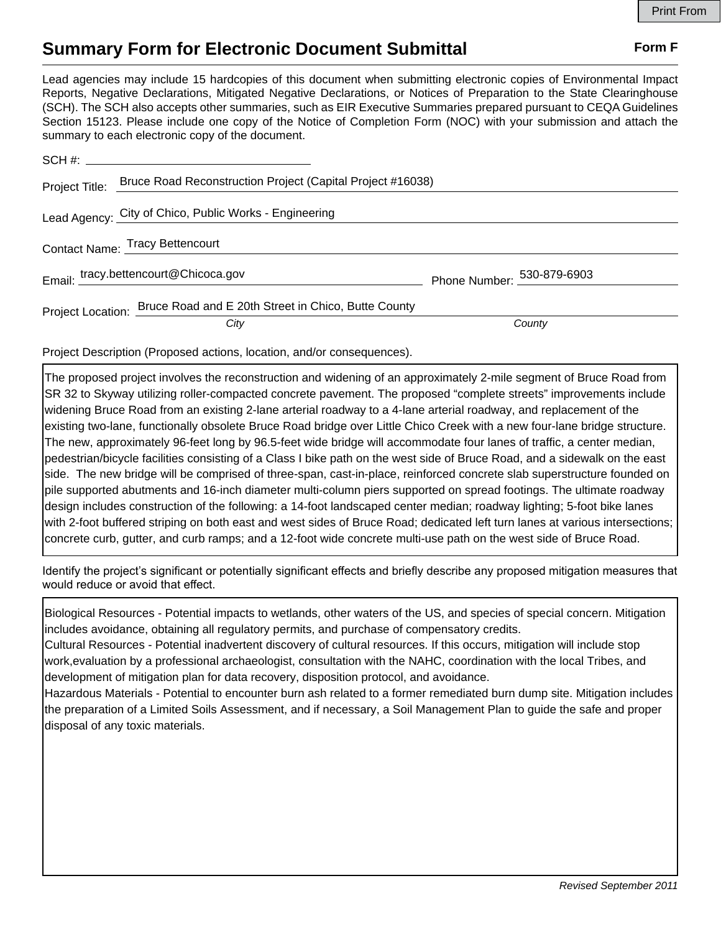## **Summary Form for Electronic Document Submittal Form F Form F**

Lead agencies may include 15 hardcopies of this document when submitting electronic copies of Environmental Impact Reports, Negative Declarations, Mitigated Negative Declarations, or Notices of Preparation to the State Clearinghouse (SCH). The SCH also accepts other summaries, such as EIR Executive Summaries prepared pursuant to CEQA Guidelines Section 15123. Please include one copy of the Notice of Completion Form (NOC) with your submission and attach the summary to each electronic copy of the document.

| Project Title: | Bruce Road Reconstruction Project (Capital Project #16038)            |                            |
|----------------|-----------------------------------------------------------------------|----------------------------|
|                | Lead Agency: City of Chico, Public Works - Engineering                |                            |
|                | Contact Name: Tracy Bettencourt                                       |                            |
|                | Email: tracy.bettencourt@Chicoca.gov                                  | Phone Number: 530-879-6903 |
|                | Project Location: Bruce Road and E 20th Street in Chico, Butte County |                            |
|                | City                                                                  | County                     |

Project Description (Proposed actions, location, and/or consequences).

The proposed project involves the reconstruction and widening of an approximately 2-mile segment of Bruce Road from SR 32 to Skyway utilizing roller-compacted concrete pavement. The proposed "complete streets" improvements include widening Bruce Road from an existing 2-lane arterial roadway to a 4-lane arterial roadway, and replacement of the existing two-lane, functionally obsolete Bruce Road bridge over Little Chico Creek with a new four-lane bridge structure. The new, approximately 96-feet long by 96.5-feet wide bridge will accommodate four lanes of traffic, a center median, pedestrian/bicycle facilities consisting of a Class I bike path on the west side of Bruce Road, and a sidewalk on the east side. The new bridge will be comprised of three-span, cast-in-place, reinforced concrete slab superstructure founded on pile supported abutments and 16-inch diameter multi-column piers supported on spread footings. The ultimate roadway design includes construction of the following: a 14-foot landscaped center median; roadway lighting; 5-foot bike lanes with 2-foot buffered striping on both east and west sides of Bruce Road; dedicated left turn lanes at various intersections; concrete curb, gutter, and curb ramps; and a 12-foot wide concrete multi-use path on the west side of Bruce Road.

Identify the project's significant or potentially significant effects and briefly describe any proposed mitigation measures that would reduce or avoid that effect.

Biological Resources - Potential impacts to wetlands, other waters of the US, and species of special concern. Mitigation includes avoidance, obtaining all regulatory permits, and purchase of compensatory credits.

Cultural Resources - Potential inadvertent discovery of cultural resources. If this occurs, mitigation will include stop work,evaluation by a professional archaeologist, consultation with the NAHC, coordination with the local Tribes, and development of mitigation plan for data recovery, disposition protocol, and avoidance.

Hazardous Materials - Potential to encounter burn ash related to a former remediated burn dump site. Mitigation includes the preparation of a Limited Soils Assessment, and if necessary, a Soil Management Plan to guide the safe and proper disposal of any toxic materials.